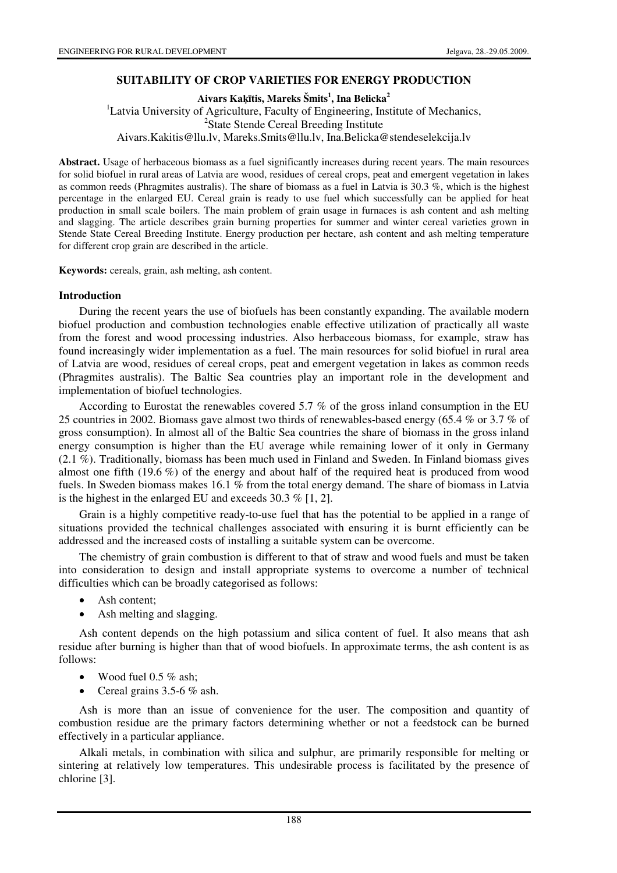### **SUITABILITY OF CROP VARIETIES FOR ENERGY PRODUCTION**

**Aivars Ka**ķī**tis, Mareks Šmits<sup>1</sup> , Ina Belicka<sup>2</sup>**

<sup>1</sup>Latvia University of Agriculture, Faculty of Engineering, Institute of Mechanics, 2 State Stende Cereal Breeding Institute

Aivars.Kakitis@llu.lv, Mareks.Smits@llu.lv, Ina.Belicka@stendeselekcija.lv

**Abstract.** Usage of herbaceous biomass as a fuel significantly increases during recent years. The main resources for solid biofuel in rural areas of Latvia are wood, residues of cereal crops, peat and emergent vegetation in lakes as common reeds (Phragmites australis). The share of biomass as a fuel in Latvia is 30.3 %, which is the highest percentage in the enlarged EU. Cereal grain is ready to use fuel which successfully can be applied for heat production in small scale boilers. The main problem of grain usage in furnaces is ash content and ash melting and slagging. The article describes grain burning properties for summer and winter cereal varieties grown in Stende State Cereal Breeding Institute. Energy production per hectare, ash content and ash melting temperature for different crop grain are described in the article.

**Keywords:** cereals, grain, ash melting, ash content.

#### **Introduction**

During the recent years the use of biofuels has been constantly expanding. The available modern biofuel production and combustion technologies enable effective utilization of practically all waste from the forest and wood processing industries. Also herbaceous biomass, for example, straw has found increasingly wider implementation as a fuel. The main resources for solid biofuel in rural area of Latvia are wood, residues of cereal crops, peat and emergent vegetation in lakes as common reeds (Phragmites australis). The Baltic Sea countries play an important role in the development and implementation of biofuel technologies.

According to Eurostat the renewables covered 5.7 % of the gross inland consumption in the EU 25 countries in 2002. Biomass gave almost two thirds of renewables-based energy (65.4 % or 3.7 % of gross consumption). In almost all of the Baltic Sea countries the share of biomass in the gross inland energy consumption is higher than the EU average while remaining lower of it only in Germany (2.1 %). Traditionally, biomass has been much used in Finland and Sweden. In Finland biomass gives almost one fifth (19.6 %) of the energy and about half of the required heat is produced from wood fuels. In Sweden biomass makes 16.1 % from the total energy demand. The share of biomass in Latvia is the highest in the enlarged EU and exceeds 30.3 % [1, 2].

Grain is a highly competitive ready-to-use fuel that has the potential to be applied in a range of situations provided the technical challenges associated with ensuring it is burnt efficiently can be addressed and the increased costs of installing a suitable system can be overcome.

The chemistry of grain combustion is different to that of straw and wood fuels and must be taken into consideration to design and install appropriate systems to overcome a number of technical difficulties which can be broadly categorised as follows:

- Ash content;
- Ash melting and slagging.

Ash content depends on the high potassium and silica content of fuel. It also means that ash residue after burning is higher than that of wood biofuels. In approximate terms, the ash content is as follows:

- Wood fuel  $0.5\%$  ash:
- Cereal grains 3.5-6 % ash.

Ash is more than an issue of convenience for the user. The composition and quantity of combustion residue are the primary factors determining whether or not a feedstock can be burned effectively in a particular appliance.

Alkali metals, in combination with silica and sulphur, are primarily responsible for melting or sintering at relatively low temperatures. This undesirable process is facilitated by the presence of chlorine [3].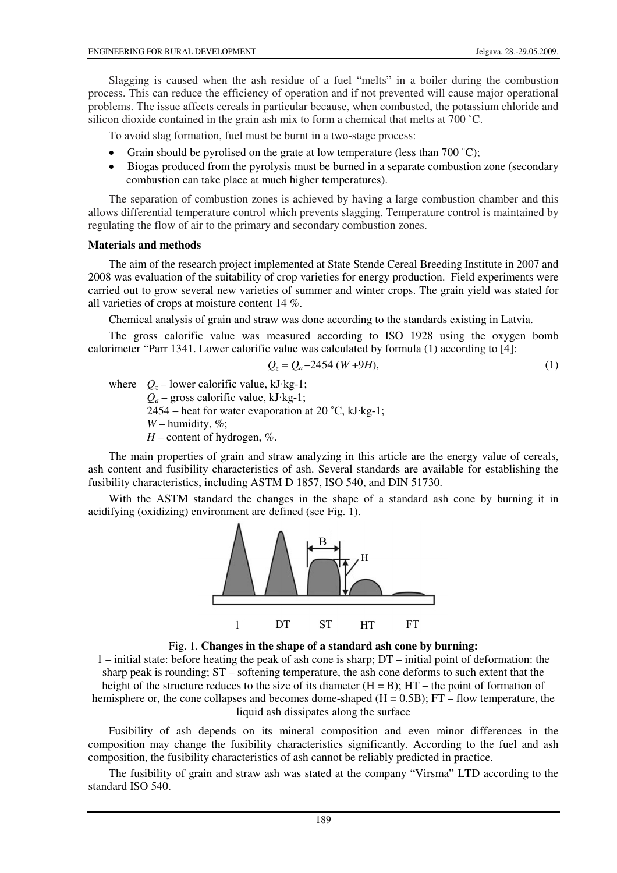Slagging is caused when the ash residue of a fuel "melts" in a boiler during the combustion process. This can reduce the efficiency of operation and if not prevented will cause major operational problems. The issue affects cereals in particular because, when combusted, the potassium chloride and silicon dioxide contained in the grain ash mix to form a chemical that melts at 700 ˚C.

To avoid slag formation, fuel must be burnt in a two-stage process:

- Grain should be pyrolised on the grate at low temperature (less than 700 °C);
- Biogas produced from the pyrolysis must be burned in a separate combustion zone (secondary combustion can take place at much higher temperatures).

The separation of combustion zones is achieved by having a large combustion chamber and this allows differential temperature control which prevents slagging. Temperature control is maintained by regulating the flow of air to the primary and secondary combustion zones.

### **Materials and methods**

The aim of the research project implemented at State Stende Cereal Breeding Institute in 2007 and 2008 was evaluation of the suitability of crop varieties for energy production. Field experiments were carried out to grow several new varieties of summer and winter crops. The grain yield was stated for all varieties of crops at moisture content 14 %.

Chemical analysis of grain and straw was done according to the standards existing in Latvia.

The gross calorific value was measured according to ISO 1928 using the oxygen bomb calorimeter "Parr 1341. Lower calorific value was calculated by formula (1) according to [4]:

$$
Q_z = Q_a - 2454 (W + 9H),
$$
\n(1)

where  $Q_z$  – lower calorific value, kJ·kg-1;  $Q_a$  – gross calorific value, kJ·kg-1; 2454 – heat for water evaporation at 20  $^{\circ}$ C, kJ·kg-1;  $W$  – humidity, %;  $H$  – content of hydrogen,  $\%$ .

The main properties of grain and straw analyzing in this article are the energy value of cereals, ash content and fusibility characteristics of ash. Several standards are available for establishing the fusibility characteristics, including ASTM D 1857, ISO 540, and DIN 51730.

With the ASTM standard the changes in the shape of a standard ash cone by burning it in acidifying (oxidizing) environment are defined (see Fig. 1).





1 – initial state: before heating the peak of ash cone is sharp; DT – initial point of deformation: the sharp peak is rounding; ST – softening temperature, the ash cone deforms to such extent that the height of the structure reduces to the size of its diameter  $(H = B)$ ;  $HT -$  the point of formation of hemisphere or, the cone collapses and becomes dome-shaped  $(H = 0.5B)$ ;  $FT$  – flow temperature, the liquid ash dissipates along the surface

Fusibility of ash depends on its mineral composition and even minor differences in the composition may change the fusibility characteristics significantly. According to the fuel and ash composition, the fusibility characteristics of ash cannot be reliably predicted in practice.

The fusibility of grain and straw ash was stated at the company "Virsma" LTD according to the standard ISO 540.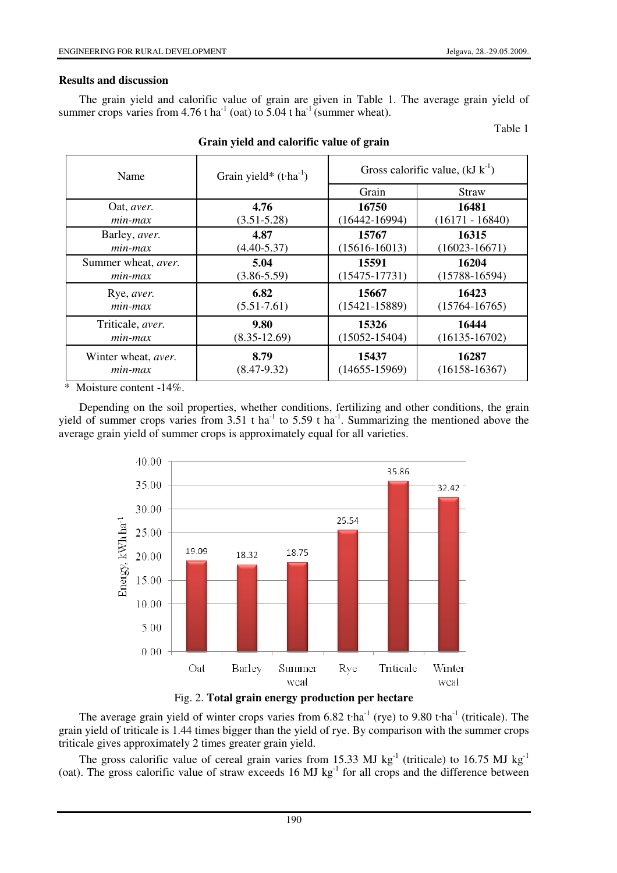Table 1

### **Results and discussion**

The grain yield and calorific value of grain are given in Table 1. The average grain yield of summer crops varies from 4.76 t ha<sup>-1</sup> (oat) to 5.04 t ha<sup>-1</sup> (summer wheat).

Name Grain yield\*  $(t\cdot ha^{-1})$  Gross calorific value,  $(kJ k^{-1})$ Grain Straw Oat, *aver. min-max* **4.76** (3.51-5.28) **16750** (16442-16994) **16481** (16171 - 16840) Barley, *aver. min-max* **4.87** (4.40-5.37) **15767** (15616-16013) **16315** (16023-16671) Summer wheat, *aver. min-max* **5.04** (3.86-5.59) **15591** (15475-17731) **16204** (15788-16594) Rye, *aver. min-max* **6.82**  $(5.51 - 7.61)$ **15667** (15421-15889) **16423** (15764-16765) Triticale, *aver. min-max* **9.80** (8.35-12.69) **15326** (15052-15404) **16444** (16135-16702) Winter wheat, *aver. min-max* **8.79** (8.47-9.32) **15437** (14655-15969) **16287** (16158-16367)

# **Grain yield and calorific value of grain**

Moisture content  $-14\%$ .

Depending on the soil properties, whether conditions, fertilizing and other conditions, the grain yield of summer crops varies from 3.51 t ha<sup>1</sup> to 5.59 t ha<sup>-1</sup>. Summarizing the mentioned above the average grain yield of summer crops is approximately equal for all varieties.





The average grain yield of winter crops varies from  $6.82$  t·ha<sup>-1</sup> (rye) to  $9.80$  t·ha<sup>-1</sup> (triticale). The grain yield of triticale is 1.44 times bigger than the yield of rye. By comparison with the summer crops triticale gives approximately 2 times greater grain yield.

The gross calorific value of cereal grain varies from 15.33 MJ kg<sup>-1</sup> (triticale) to 16.75 MJ kg<sup>-1</sup> (oat). The gross calorific value of straw exceeds 16 MJ kg<sup>-1</sup> for all crops and the difference between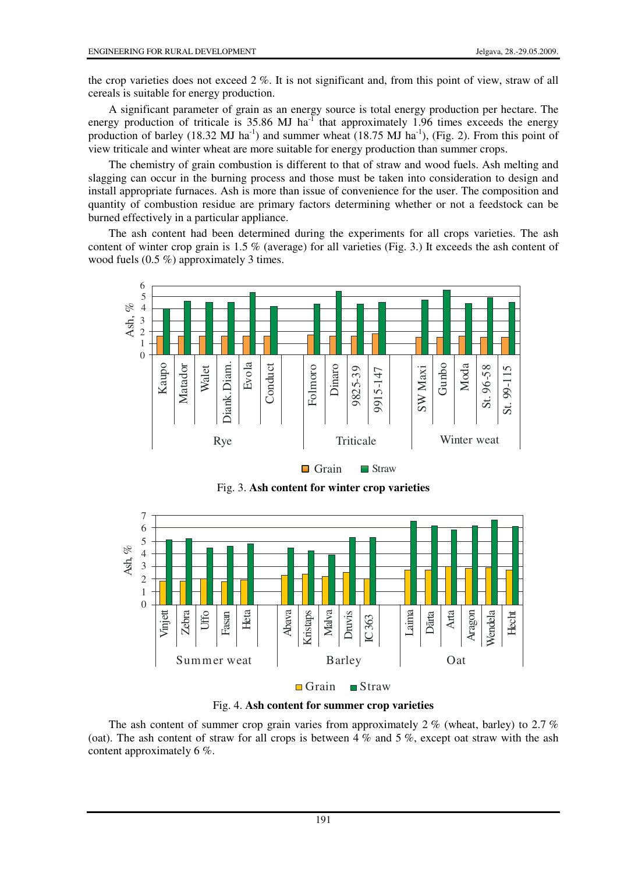the crop varieties does not exceed 2 %. It is not significant and, from this point of view, straw of all cereals is suitable for energy production.

A significant parameter of grain as an energy source is total energy production per hectare. The energy production of triticale is  $35.86$  MJ ha<sup>-1</sup> that approximately 1.96 times exceeds the energy production of barley (18.32 MJ ha<sup>-1</sup>) and summer wheat (18.75 MJ ha<sup>-1</sup>), (Fig. 2). From this point of view triticale and winter wheat are more suitable for energy production than summer crops.

The chemistry of grain combustion is different to that of straw and wood fuels. Ash melting and slagging can occur in the burning process and those must be taken into consideration to design and install appropriate furnaces. Ash is more than issue of convenience for the user. The composition and quantity of combustion residue are primary factors determining whether or not a feedstock can be burned effectively in a particular appliance.

The ash content had been determined during the experiments for all crops varieties. The ash content of winter crop grain is 1.5 % (average) for all varieties (Fig. 3.) It exceeds the ash content of wood fuels (0.5 %) approximately 3 times.



Fig. 3. **Ash content for winter crop varieties**



Fig. 4. **Ash content for summer crop varieties**

The ash content of summer crop grain varies from approximately 2  $\%$  (wheat, barley) to 2.7  $\%$ (oat). The ash content of straw for all crops is between 4  $\%$  and 5  $\%$ , except oat straw with the ash content approximately 6 %.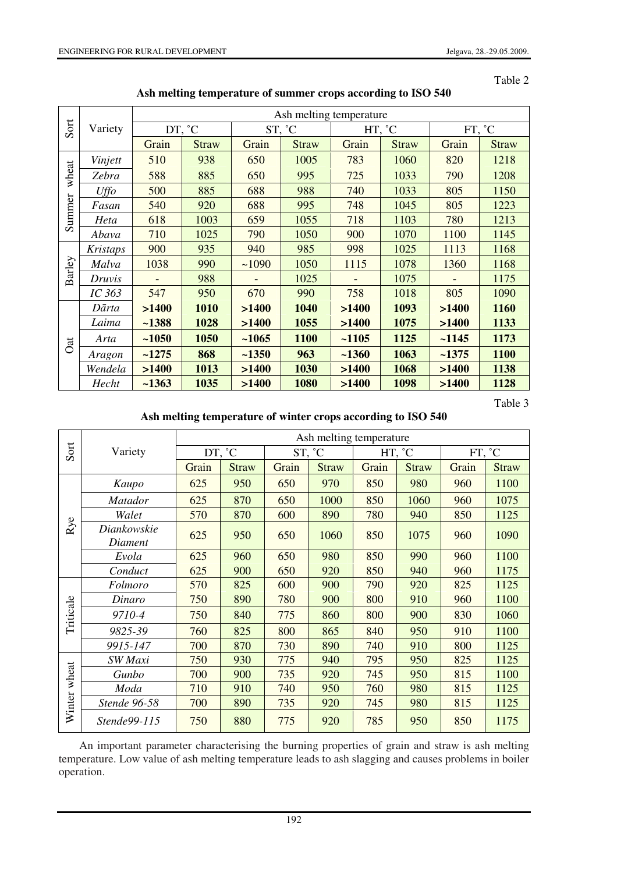Table 2

| Sort            | Variety         | Ash melting temperature |              |         |              |         |              |         |              |  |
|-----------------|-----------------|-------------------------|--------------|---------|--------------|---------|--------------|---------|--------------|--|
|                 |                 | DT, °C                  |              | ST, °C  |              | HT, °C  |              | FT, °C  |              |  |
|                 |                 | Grain                   | <b>Straw</b> | Grain   | <b>Straw</b> | Grain   | <b>Straw</b> | Grain   | <b>Straw</b> |  |
| wheat<br>Summer | Vinjett         | 510                     | 938          | 650     | 1005         | 783     | 1060         | 820     | 1218         |  |
|                 | Zebra           | 588                     | 885          | 650     | 995          | 725     | 1033         | 790     | 1208         |  |
|                 | Uffo            | 500                     | 885          | 688     | 988          | 740     | 1033         | 805     | 1150         |  |
|                 | Fasan           | 540                     | 920          | 688     | 995          | 748     | 1045         | 805     | 1223         |  |
|                 | Heta            | 618                     | 1003         | 659     | 1055         | 718     | 1103         | 780     | 1213         |  |
|                 | Abava           | 710                     | 1025         | 790     | 1050         | 900     | 1070         | 1100    | 1145         |  |
| Barley          | <b>Kristaps</b> | 900                     | 935          | 940     | 985          | 998     | 1025         | 1113    | 1168         |  |
|                 | Malva           | 1038                    | 990          | ~1090   | 1050         | 1115    | 1078         | 1360    | 1168         |  |
|                 | Druvis          |                         | 988          |         | 1025         |         | 1075         |         | 1175         |  |
|                 | IC 363          | 547                     | 950          | 670     | 990          | 758     | 1018         | 805     | 1090         |  |
| Oat             | Dārta           | >1400                   | 1010         | >1400   | 1040         | >1400   | 1093         | >1400   | 1160         |  |
|                 | Laima           | $-1388$                 | 1028         | >1400   | 1055         | >1400   | 1075         | >1400   | 1133         |  |
|                 | Arta            | $-1050$                 | 1050         | $-1065$ | 1100         | $-1105$ | 1125         | $-1145$ | 1173         |  |
|                 | Aragon          | $-1275$                 | 868          | $-1350$ | 963          | $-1360$ | 1063         | $-1375$ | 1100         |  |
|                 | Wendela         | >1400                   | 1013         | >1400   | 1030         | >1400   | 1068         | >1400   | 1138         |  |
|                 | Hecht           | $-1363$                 | 1035         | >1400   | 1080         | >1400   | 1098         | >1400   | 1128         |  |

**Ash melting temperature of summer crops according to ISO 540** 

Table 3

**Ash melting temperature of winter crops according to ISO 540** 

|              |                        | Ash melting temperature |              |        |              |        |              |        |              |
|--------------|------------------------|-------------------------|--------------|--------|--------------|--------|--------------|--------|--------------|
| Sort         | Variety                | DT, °C                  |              | ST, °C |              | HT, °C |              | FT, °C |              |
|              |                        | Grain                   | <b>Straw</b> | Grain  | <b>Straw</b> | Grain  | <b>Straw</b> | Grain  | <b>Straw</b> |
| Rye          | Kaupo                  | 625                     | 950          | 650    | 970          | 850    | 980          | 960    | 1100         |
|              | <i>Matador</i>         | 625                     | 870          | 650    | 1000         | 850    | 1060         | 960    | 1075         |
|              | Walet                  | 570                     | 870          | 600    | 890          | 780    | 940          | 850    | 1125         |
|              | Diankowskie<br>Diament | 625                     | 950          | 650    | 1060         | 850    | 1075         | 960    | 1090         |
|              | Evola                  | 625                     | 960          | 650    | 980          | 850    | 990          | 960    | 1100         |
|              | Conduct                | 625                     | 900          | 650    | 920          | 850    | 940          | 960    | 1175         |
| Triticale    | Folmoro                | 570                     | 825          | 600    | 900          | 790    | 920          | 825    | 1125         |
|              | Dinaro                 | 750                     | 890          | 780    | 900          | 800    | 910          | 960    | 1100         |
|              | 9710-4                 | 750                     | 840          | 775    | 860          | 800    | 900          | 830    | 1060         |
|              | 9825-39                | 760                     | 825          | 800    | 865          | 840    | 950          | 910    | 1100         |
|              | 9915-147               | 700                     | 870          | 730    | 890          | 740    | 910          | 800    | 1125         |
| Winter wheat | SW Maxi                | 750                     | 930          | 775    | 940          | 795    | 950          | 825    | 1125         |
|              | Gunbo                  | 700                     | 900          | 735    | 920          | 745    | 950          | 815    | 1100         |
|              | Moda                   | 710                     | 910          | 740    | 950          | 760    | 980          | 815    | 1125         |
|              | Stende 96-58           | 700                     | 890          | 735    | 920          | 745    | 980          | 815    | 1125         |
|              | Stende99-115           | 750                     | 880          | 775    | 920          | 785    | 950          | 850    | 1175         |

An important parameter characterising the burning properties of grain and straw is ash melting temperature. Low value of ash melting temperature leads to ash slagging and causes problems in boiler operation.